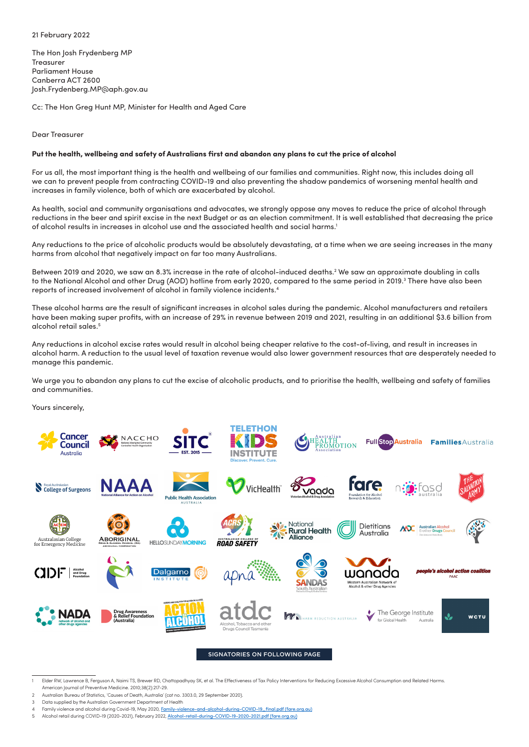## 21 February 2022

The Hon Josh Frydenberg MP **Treasurer** Parliament House Canberra ACT 2600 [Josh.Frydenberg.MP@aph.gov.au](mailto:Josh.Frydenberg.MP@aph.gov.au)

Cc: The Hon Greg Hunt MP, Minister for Health and Aged Care

Dear Treasurer

## **Put the health, wellbeing and safety of Australians first and abandon any plans to cut the price of alcohol**

For us all, the most important thing is the health and wellbeing of our families and communities. Right now, this includes doing all we can to prevent people from contracting COVID-19 and also preventing the shadow pandemics of worsening mental health and increases in family violence, both of which are exacerbated by alcohol.

As health, social and community organisations and advocates, we strongly oppose any moves to reduce the price of alcohol through reductions in the beer and spirit excise in the next Budget or as an election commitment. It is well established that decreasing the price of alcohol results in increases in alcohol use and the associated health and social harms.1

Any reductions to the price of alcoholic products would be absolutely devastating, at a time when we are seeing increases in the many harms from alcohol that negatively impact on far too many Australians.

Between 2019 and 2020, we saw an 8.3% increase in the rate of alcohol-induced deaths.<sup>2</sup> We saw an approximate doubling in calls to the National Alcohol and other Drug (AOD) hotline from early 2020, compared to the same period in 2019.<sup>3</sup> There have also been reports of increased involvement of alcohol in family violence incidents.4

These alcohol harms are the result of significant increases in alcohol sales during the pandemic. Alcohol manufacturers and retailers have been making super profits, with an increase of 29% in revenue between 2019 and 2021, resulting in an additional \$3.6 billion from alcohol retail sales.<sup>5</sup>

Any reductions in alcohol excise rates would result in alcohol being cheaper relative to the cost-of-living, and result in increases in alcohol harm. A reduction to the usual level of taxation revenue would also lower government resources that are desperately needed to manage this pandemic.

We urge you to abandon any plans to cut the excise of alcoholic products, and to prioritise the health, wellbeing and safety of families and communities.

Yours sincerely,



SIGNATORIES ON FOLLOWING PAGE

Elder RW, Lawrence B, Ferguson A, Naimi TS, Brewer RD, Chattopadhyay SK, et al. The Effectiveness of Tax Policy Interventions for Reducing Excessive Alcohol Consumption and Related Harms American Journal of Preventive Medicine. 2010;38(2):217-29.

Australian Bureau of Statistics, 'Causes of Death, Australia' (cat no. 3303.0, 29 September 2020).

Data supplied by the Australian Government Department of Health

Family violence and alcohol during Covid-19, May 2020, [Family-violence-and-alcohol-during-COVID-19\\_final.pdf \(fare.org.au\)](https://www.womenssafetynsw.org.au/impact/publication/family-violence-and-alcohol-during-covid-19/)

<sup>5</sup> Alcohol retail during COVID-19 (2020-2021), February 2022, [Alcohol-retail-during-COVID-19-2020-2021.pdf \(fare.org.au\)](https://fare.org.au/wp-content/uploads/Alcohol-retail-during-COVID-19-2020-2021.pdf)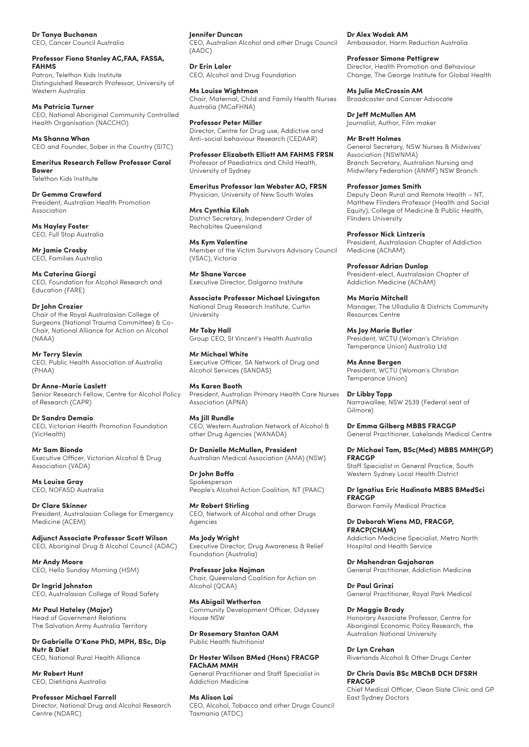## **Dr Tanya Buchanan**

CEO, Cancer Council Australia

#### **Professor Fiona Stanley AC,FAA, FASSA, FAHMS**  Patron, Telethon Kids Institute

Distinguished Research Professor, University of Western Australia

**Ms Patricia Turner** 

CEO, National Aboriginal Community Controlled Health Organisation (NACCHO)

#### **Ms Shanna Whan**

CEO and Founder, Sober in the Country (SITC)

**Emeritus Research Fellow Professor Carol Bower**  Telethon Kids Institute

**Dr Gemma Crawford**  President, Australian Health Promotion Association

**Ms Hayley Foster**  CEO, Full Stop Australia

**Mr Jamie Crosby**  CEO, Families Australia

**Ms Caterina Giorgi**  CEO, Foundation for Alcohol Research and Education (FARE)

**Dr John Crozier**

Chair of the Royal Australasian College of Surgeons (National Trauma Committee) & Co-Chair, National Alliance for Action on Alcohol (NAAA)

**Mr Terry Slevin**  CEO, Public Health Association of Australia (PHAA)

**Dr Anne-Marie Laslett**  Senior Research Fellow, Centre for Alcohol Policy of Research (CAPR)

**Dr Sandro Demaio**  CEO, Victorian Health Promotion Foundation (VicHealth)

**Mr Sam Biondo**  Executive Officer, Victorian Alcohol & Drug Association (VADA)

**Ms Louise Gray**  CEO, NOFASD Australia

**Dr Clare Skinner**  President, Australasian College for Emergency Medicine (ACEM)

**Adjunct Associate Professor Scott Wilson**  CEO, Aboriginal Drug & Alcohol Council (ADAC)

**Mr Andy Moore**  CEO, Hello Sunday Morning (HSM)

**Dr Ingrid Johnston**  CEO, Australasian College of Road Safety

**Mr Paul Hateley (Major)**  Head of Government Relations The Salvation Army Australia Territory

**Dr Gabrielle O'Kane PhD, MPH, BSc, Dip Nutr & Diet**  CEO, National Rural Health Alliance

**Mr Robert Hunt** CEO, Dietitians Australia

**Professor Michael Farrell**  Director, National Drug and Alcohol Research Centre (NDARC)

# **Jennifer Duncan**

CEO, Australian Alcohol and other Drugs Council (AADC)

**Dr Erin Lalor** CEO, Alcohol and Drug Foundation

**Ms Louise Wightman** Chair, Maternal, Child and Family Health Nurses Australia (MCaFHNA)

**Professor Peter Miller**  Director, Centre for Drug use, Addictive and Anti-social behaviour Research (CEDAAR)

**Professor Elizabeth Elliott AM FAHMS FRSN**  Professor of Paediatrics and Child Health, University of Sydney

**Emeritus Professor Ian Webster AO, FRSN**  Physician, University of New South Wales

## **Mrs Cynthia Kilah**

District Secretary, Independent Order of Rechabites Queensland

**Ms Kym Valentine**  Member of the Victim Survivors Advisory Council (VSAC), Victoria

**Mr Shane Varcoe**  Executive Director, Dalgarno Institute

**Associate Professor Michael Livingston**  National Drug Research Institute, Curtin University

**Mr Toby Hall**  Group CEO, St Vincent's Health Australia

**Mr Michael White**  Executive Officer, SA Network of Drug and Alcohol Services (SANDAS)

**Ms Karen Booth**  President, Australian Primary Health Care Nurses Association (APNA)

**Ms Jill Rundle**  CEO, Western Australian Network of Alcohol & other Drug Agencies (WANADA)

**Dr Danielle McMullen, President**  Australian Medical Association (AMA) (NSW)

**Dr John Boffa**  Spokesperson People's Alcohol Action Coalition, NT (PAAC)

**Mr Robert Stirling**  CEO, Network of Alcohol and other Drugs Agencies

**Ms Jody Wright**  Executive Director, Drug Awareness & Relief Foundation (Australia)

**Professor Jake Najman**  Chair, Queensland Coalition for Action on Alcohol (QCAA)

**Ms Abigail Wetherton**  Community Development Officer, Odyssey House NSW

**Dr Rosemary Stanton OAM**  Public Health Nutritionist

**Dr Hester Wilson BMed (Hons) FRACGP FAChAM MMH** 

General Practitioner and Staff Specialist in Addiction Medicine

**Ms Alison Lai**  CEO, Alcohol, Tobacco and other Drugs Council Tasmania (ATDC)

**Dr Alex Wodak AM**  Ambassador, Harm Reduction Australia

**Professor Simone Pettigrew**  Director, Health Promotion and Behaviour Change, The George Institute for Global Health

**Ms Julie McCrossin AM**  Broadcaster and Cancer Advocate

**Dr Jeff McMullen AM**  Journalist, Author, Film maker

**Mr Brett Holmes** 

General Secretary, NSW Nurses & Midwives' Association (NSWNMA) Branch Secretary, Australian Nursing and Midwifery Federation (ANMF) NSW Branch

**Professor James Smith** 

Deputy Dean Rural and Remote Health – NT, Matthew Flinders Professor (Health and Social Equity), College of Medicine & Public Health, Flinders University

**Professor Nick Lintzeris**  President, Australasian Chapter of Addiction Medicine (AChAM)

**Professor Adrian Dunlop**  President-elect, Australasian Chapter of Addiction Medicine (AChAM)

**Ms Maria Mitchell**  Manager, The Ulladulla & Districts Community Resources Centre

**Ms Joy Marie Butler**  President, WCTU (Woman's Christian Temperance Union) Australia Ltd

**Ms Anne Bergen**  President, WCTU (Woman's Christian Temperance Union)

**Dr Libby Topp**  Narrawallee, NSW 2539 (Federal seat of Gilmore)

**Dr Emma Gilberg MBBS FRACGP** General Practitioner, Lakelands Medical Centre

**Dr Michael Tam, BSc(Med) MBBS MMH(GP) FRACGP**  Staff Specialist in General Practice, South Western Sydney Local Health District

**Dr Ignatius Eric Hadinata MBBS BMedSci FRACGP** Barwon Family Medical Practice

**Dr Deborah Wiens MD, FRACGP, FRACP(CHAM)**  Addiction Medicine Specialist, Metro North Hospital and Health Service

**Dr Mahendran Gajaharan**  General Practitioner, Addiction Medicine

**Dr Paul Grinzi**  General Practitioner, Royal Park Medical

**Dr Maggie Brady**  Honorary Associate Professor, Centre for Aboriginal Economic Policy Research, the Australian National University

**Dr Lyn Crehan**  Riverlands Alcohol & Other Drugs Center

## **Dr Chris Davis BSc MBChB DCH DFSRH FRACGP**

Chief Medical Officer, Clean Slate Clinic and GP East Sydney Doctors